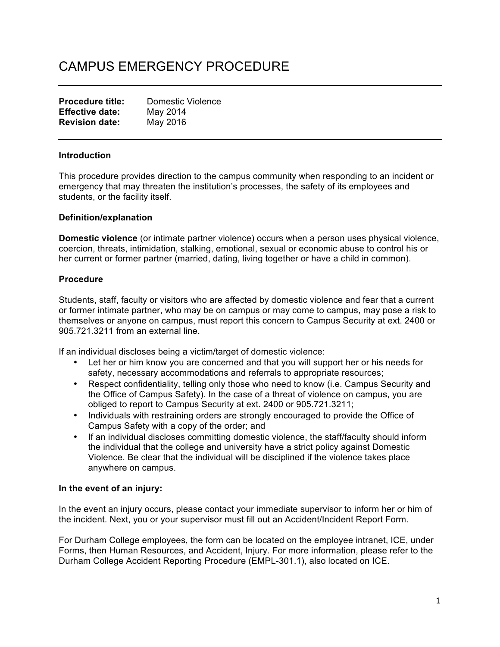# CAMPUS EMERGENCY PROCEDURE

| <b>Procedure title:</b> | Domestic Violence |
|-------------------------|-------------------|
| <b>Effective date:</b>  | May 2014          |
| <b>Revision date:</b>   | May 2016          |

### **Introduction**

This procedure provides direction to the campus community when responding to an incident or emergency that may threaten the institution's processes, the safety of its employees and students, or the facility itself.

### **Definition/explanation**

**Domestic violence** (or intimate partner violence) occurs when a person uses physical violence, coercion, threats, intimidation, stalking, emotional, sexual or economic abuse to control his or her current or former partner (married, dating, living together or have a child in common).

# **Procedure**

Students, staff, faculty or visitors who are affected by domestic violence and fear that a current or former intimate partner, who may be on campus or may come to campus, may pose a risk to themselves or anyone on campus, must report this concern to Campus Security at ext. 2400 or 905.721.3211 from an external line.

If an individual discloses being a victim/target of domestic violence:

- Let her or him know you are concerned and that you will support her or his needs for safety, necessary accommodations and referrals to appropriate resources;
- Respect confidentiality, telling only those who need to know (i.e. Campus Security and the Office of Campus Safety). In the case of a threat of violence on campus, you are obliged to report to Campus Security at ext. 2400 or 905.721.3211;
- Individuals with restraining orders are strongly encouraged to provide the Office of Campus Safety with a copy of the order; and
- If an individual discloses committing domestic violence, the staff/faculty should inform the individual that the college and university have a strict policy against Domestic Violence. Be clear that the individual will be disciplined if the violence takes place anywhere on campus.

### **In the event of an injury:**

In the event an injury occurs, please contact your immediate supervisor to inform her or him of the incident. Next, you or your supervisor must fill out an Accident/Incident Report Form.

For Durham College employees, the form can be located on the employee intranet, ICE, under Forms, then Human Resources, and Accident, Injury. For more information, please refer to the Durham College Accident Reporting Procedure (EMPL-301.1), also located on ICE.